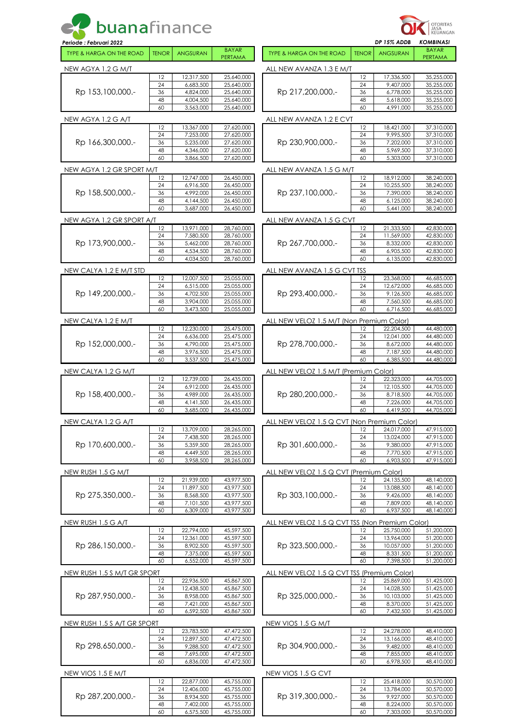| <b>buanafinance</b>                                           |              |                          |                          |                                                 | OTORITAS<br>JASA<br>KEUANGAN<br><b>KOMBINASI</b><br>DP 15% ADDB |                          |                          |
|---------------------------------------------------------------|--------------|--------------------------|--------------------------|-------------------------------------------------|-----------------------------------------------------------------|--------------------------|--------------------------|
| Periode: Februari 2022<br><b>TYPE &amp; HARGA ON THE ROAD</b> | <b>TENOR</b> | <b>ANGSURAN</b>          | <b>BAYAR</b><br>PERTAMA  | <b>TYPE &amp; HARGA ON THE ROAD</b>             | <b>TENOR</b>                                                    | <b>ANGSURAN</b>          | <b>BAYAR</b><br>PERTAMA  |
| NEW AGYA 1.2 G M/T                                            |              |                          |                          | ALL NEW AVANZA 1.3 E M/T                        |                                                                 |                          |                          |
|                                                               | 12           | 12,317,500               | 25,640,000               |                                                 | 12                                                              | 17,336,500               | 35,255,000               |
|                                                               | 24           | 6,683,500                | 25,640,000               |                                                 | 24                                                              | 9,407,000                | 35,255,000               |
| Rp 153,100,000.-                                              | 36<br>48     | 4,824,000<br>4,004,500   | 25,640,000<br>25,640,000 | Rp 217,200,000.-                                | 36<br>48                                                        | 6,778,000<br>5,618,000   | 35,255,000<br>35,255,000 |
|                                                               | 60           | 3,563,000                | 25,640,000               |                                                 | 60                                                              | 4,991,000                | 35,255,000               |
| NEW AGYA 1.2 G A/T                                            |              |                          |                          | ALL NEW AVANZA 1.2 E CVT                        |                                                                 |                          |                          |
|                                                               | 12           | 13,367,000               | 27,620,000               |                                                 | 12                                                              | 18,421,000<br>9.995.500  | 37,310,000               |
| Rp 166,300,000.-                                              | 24<br>36     | 7,253,000<br>5,235,000   | 27,620,000<br>27,620,000 | Rp 230,900,000.-                                | 24<br>36                                                        | 7,202,000                | 37,310,000<br>37,310,000 |
|                                                               | 48           | 4,346,000                | 27,620,000               |                                                 | 48                                                              | 5,969,500                | 37,310,000               |
|                                                               | 60           | 3,866,500                | 27,620,000               |                                                 | 60                                                              | 5,303,000                | 37,310,000               |
| NEW AGYA 1.2 GR SPORT M/T                                     |              |                          |                          | ALL NEW AVANZA 1.5 G M/T                        |                                                                 |                          |                          |
|                                                               | 12<br>24     | 12,747,000<br>6,916,500  | 26,450,000<br>26,450,000 |                                                 | 12<br>24                                                        | 18,912,000<br>10,255,500 | 38,240,000<br>38,240,000 |
| Rp 158,500,000.-                                              | 36           | 4,992,000                | 26,450,000               | Rp 237,100,000.-                                | 36                                                              | 7,390,000                | 38,240,000               |
|                                                               | 48           | 4,144,500                | 26,450,000               |                                                 | 48                                                              | 6,125,000                | 38,240,000               |
|                                                               | 60           | 3,687,000                | 26,450,000               |                                                 | 60                                                              | 5,441,000                | 38,240,000               |
| NEW AGYA 1.2 GR SPORT A/T                                     | 12           | 13,971,000               |                          | ALL NEW AVANZA 1.5 G CVT                        | 12                                                              | 21,333,500               | 42,830,000               |
|                                                               | 24           | 7,580,500                | 28,760,000<br>28,760,000 |                                                 | 24                                                              | 11,569,000               | 42,830,000               |
| Rp 173,900,000.-                                              | 36           | 5,462,000                | 28,760,000               | Rp 267,700,000.-                                | 36                                                              | 8,332,000                | 42,830,000               |
|                                                               | 48           | 4,534,500                | 28,760,000               |                                                 | 48                                                              | 6,905,500                | 42,830,000               |
|                                                               | 60           | 4,034,500                | 28,760,000               |                                                 | 60                                                              | 6,135,000                | 42,830,000               |
| NEW CALYA 1.2 E M/T STD                                       | 12           | 12,007,500               | 25,055,000               | ALL NEW AVANZA 1.5 G CVT TSS                    | 12                                                              | 23,368,000               | 46,685,000               |
|                                                               | 24           | 6,515,000                | 25,055,000               |                                                 | 24                                                              | 12,672,000               | 46,685,000               |
| Rp 149,200,000.-                                              | 36           | 4,702,500                | 25,055,000               | Rp 293,400,000.-                                | 36                                                              | 9,126,500                | 46,685,000               |
|                                                               | 48<br>60     | 3,904,000<br>3,473,500   | 25,055,000<br>25,055,000 |                                                 | 48<br>60                                                        | 7,560,500<br>6,716,500   | 46,685,000<br>46,685,000 |
|                                                               |              |                          |                          |                                                 |                                                                 |                          |                          |
| NEW CALYA 1.2 E M/T                                           | 12           | 12,230,000               | 25,475,000               | ALL NEW VELOZ 1.5 M/T (Non Premium Color)       | 12                                                              | 22,204,500               | 44,480,000               |
|                                                               | 24           | 6,636,000                | 25,475,000               |                                                 | 24                                                              | 12,041,000               | 44,480,000               |
| Rp 152,000,000.-                                              | 36           | 4,790,000                | 25,475,000               | Rp 278,700,000.-                                | 36                                                              | 8,672,000                | 44,480,000               |
|                                                               | 48<br>60     | 3,976,500<br>3,537,500   | 25,475,000<br>25,475,000 |                                                 | 48<br>60                                                        | 7,187,500<br>6.385.500   | 44,480,000<br>44,480,000 |
| NEW CALYA 1.2 G M/T                                           |              |                          |                          | ALL NEW VELOZ 1.5 M/T (Premium Color)           |                                                                 |                          |                          |
|                                                               | 12           | 12,739,000               | 26,435,000               |                                                 | 12                                                              | 22,323,000               | 44,705,000               |
|                                                               | 24           | 6.912.000                | 26,435,000               | Rp 280,200,000.-                                | 24                                                              | 12,105,500               | 44,705,000               |
| Rp 158,400,000.-                                              | 36<br>48     | 4,989,000<br>4, 141, 500 | 26,435,000<br>26,435,000 |                                                 | 36<br>48                                                        | 8,718,500<br>7,226,000   | 44,705,000<br>44,705,000 |
|                                                               | 60           | 3,685,000                | 26,435,000               |                                                 | 60                                                              | 6,419,500                | 44,705,000               |
| NEW CALYA 1.2 G A/T                                           |              |                          |                          | ALL NEW VELOZ 1.5 Q CVT (Non Premium Color)     |                                                                 |                          |                          |
|                                                               | 12           | 13,709,000               | 28,265,000               |                                                 | 12                                                              | 24,017,000               | 47,915,000               |
| Rp 170,600,000.-                                              | 24<br>36     | 7,438,500<br>5,359,500   | 28,265,000<br>28,265,000 | Rp 301,600,000.-                                | 24<br>36                                                        | 13,024,000<br>9,380,000  | 47,915,000<br>47,915,000 |
|                                                               | 48           | 4,449,500                | 28,265,000               |                                                 | 48                                                              | 7,770,500                | 47,915,000               |
|                                                               | 60           | 3,958,500                | 28,265,000               |                                                 | 60                                                              | 6,903,500                | 47,915,000               |
| NEW RUSH 1.5 G M/T                                            |              |                          |                          | ALL NEW VELOZ 1.5 Q CVT (Premium Color)         |                                                                 |                          |                          |
|                                                               | 12<br>24     | 21,939,000<br>11,897,500 | 43,977,500<br>43,977,500 |                                                 | 12<br>24                                                        | 24,135,500<br>13,088,500 | 48,140,000<br>48,140,000 |
| Rp 275,350,000.-                                              | 36           | 8,568,500                | 43,977,500               | Rp 303,100,000.-                                | 36                                                              | 9,426,000                | 48,140,000               |
|                                                               | 48           | 7,101,500                | 43,977,500               |                                                 | 48                                                              | 7,809,000                | 48,140,000               |
|                                                               | 60           | 6,309,000                | 43,977,500               |                                                 | 60                                                              | 6,937,500                | 48,140,000               |
| NEW RUSH 1.5 G A/T                                            | 12           | 22,794,000               | 45,597,500               | ALL NEW VELOZ 1.5 Q CVT TSS (Non Premium Color) | 12                                                              | 25,750,000               | 51,200,000               |
|                                                               | 24           | 12,361,000               | 45,597,500               |                                                 | 24                                                              | 13,964,000               | 51,200,000               |
| Rp 286,150,000.-                                              | 36           | 8,902,500                | 45,597,500               | Rp 323,500,000.-                                | 36                                                              | 10,057,000               | 51,200,000               |
|                                                               | 48<br>60     | 7,375,000<br>6,552,000   | 45,597,500<br>45,597,500 |                                                 | 48<br>60                                                        | 8,331,500<br>7,398,500   | 51,200,000<br>51,200,000 |
|                                                               |              |                          |                          |                                                 |                                                                 |                          |                          |
| NEW RUSH 1.5 S M/T GR SPORT                                   | 12           | 22,936,500               | 45,867,500               | ALL NEW VELOZ 1.5 Q CVT TSS (Premium Color)     | 12                                                              | 25,869,000               | 51,425,000               |
|                                                               | 24           | 12,438,500               | 45,867,500               |                                                 | 24                                                              | 14,028,500               | 51,425,000               |
| Rp 287,950,000.-                                              | 36           | 8,958,000                | 45,867,500               | Rp 325,000,000.-                                | 36                                                              | 10,103,000               | 51,425,000               |
|                                                               | 48<br>60     | 7,421,000<br>6,592,500   | 45,867,500<br>45,867,500 |                                                 | 48<br>60                                                        | 8,370,000<br>7,432,500   | 51,425,000<br>51,425,000 |
| NEW RUSH 1.5 S A/T GR SPORT                                   |              |                          |                          | NEW VIOS 1.5 G M/T                              |                                                                 |                          |                          |
|                                                               | 12           | 23,783,500               | 47,472,500               |                                                 | 12                                                              | 24,278,000               | 48,410,000               |
|                                                               | 24           | 12,897,500               | 47,472,500               |                                                 | 24                                                              | 13,166,000               | 48,410,000               |
| Rp 298,650,000.-                                              | 36<br>48     | 9,288,500<br>7,695,000   | 47,472,500<br>47,472,500 | Rp 304,900,000.-                                | 36<br>48                                                        | 9,482,000<br>7,855,000   | 48,410,000<br>48,410,000 |
|                                                               | 60           | 6,836,000                | 47,472,500               |                                                 | 60                                                              | 6,978,500                | 48,410,000               |
| NEW VIOS 1.5 E M/T                                            |              |                          |                          | NEW VIOS 1.5 G CVT                              |                                                                 |                          |                          |
|                                                               | 12           | 22,877,000               | 45,755,000               |                                                 | 12                                                              | 25,418,000               | 50,570,000               |
| Rp 287,200,000.-                                              | 24<br>36     | 12,406,000<br>8,934,500  | 45,755,000<br>45,755,000 | Rp 319,300,000.-                                | 24<br>36                                                        | 13,784,000<br>9,927,000  | 50,570,000<br>50,570,000 |
|                                                               | 48           | 7,402,000                | 45,755,000               |                                                 | 48                                                              | 8,224,000                | 50,570,000               |
|                                                               | 60           | 6,575,500                | 45,755,000               |                                                 | 60                                                              | 7,303,000                | 50,570,000               |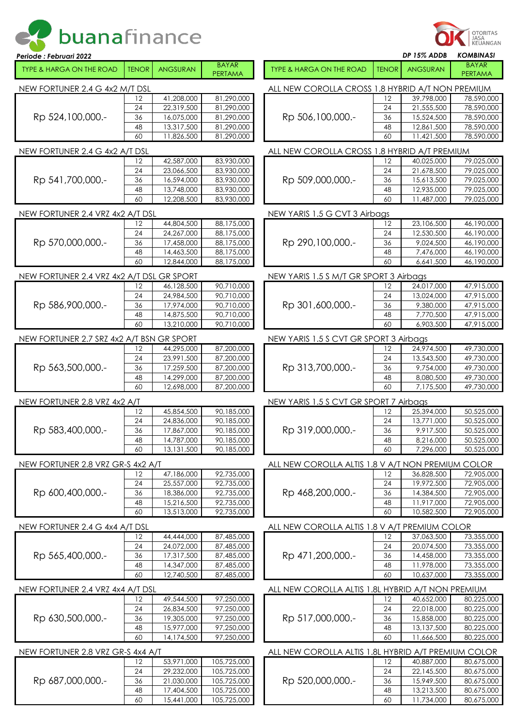|  | et buanafinance |  |  |  |  |  |
|--|-----------------|--|--|--|--|--|
|--|-----------------|--|--|--|--|--|

| Periode : Februari 2022                                                            |              |                          |                                                   |                                                     |              | DP 15% ADDB              | <b>KOMBINASI</b>               |  |  |  |
|------------------------------------------------------------------------------------|--------------|--------------------------|---------------------------------------------------|-----------------------------------------------------|--------------|--------------------------|--------------------------------|--|--|--|
| <b>TYPE &amp; HARGA ON THE ROAD</b>                                                | <b>TENOR</b> | <b>ANGSURAN</b>          | <b>BAYAR</b><br>PERTAMA                           | <b>TYPE &amp; HARGA ON THE ROAD</b>                 | <b>TENOR</b> | <b>ANGSURAN</b>          | <b>BAYAR</b><br><b>PERTAMA</b> |  |  |  |
| ALL NEW COROLLA CROSS 1.8 HYBRID A/T NON PREMIUM<br>NEW FORTUNER 2.4 G 4x2 M/T DSL |              |                          |                                                   |                                                     |              |                          |                                |  |  |  |
|                                                                                    | 12           | 41,208,000               | 81,290,000                                        |                                                     | 12           | 39,798,000               | 78,590,000                     |  |  |  |
|                                                                                    | 24           | 22,319,500               | 81,290,000                                        |                                                     | 24           | 21,555,500               | 78,590,000                     |  |  |  |
| Rp 524,100,000.-                                                                   | 36           | 16,075,000               | 81,290,000                                        | Rp 506,100,000.-                                    | 36           | 15,524,500               | 78,590,000                     |  |  |  |
|                                                                                    | 48           | 13,317,500               | 81,290,000                                        |                                                     | 48           | 12,861,500               | 78,590,000                     |  |  |  |
|                                                                                    | 60           | 11,826,500               | 81,290,000                                        |                                                     | 60           | 11,421,500               | 78,590,000                     |  |  |  |
| NEW FORTUNER 2.4 G 4x2 A/T DSL                                                     |              |                          |                                                   | ALL NEW COROLLA CROSS 1.8 HYBRID A/T PREMIUM        |              |                          |                                |  |  |  |
|                                                                                    | 12           | 42,587,000               | 83,930,000                                        |                                                     | 12           | 40,025,000               | 79,025,000                     |  |  |  |
|                                                                                    | 24           | 23,066,500               | 83,930,000                                        |                                                     | 24           | 21,678,500               | 79,025,000                     |  |  |  |
| Rp 541,700,000.-                                                                   | 36           | 16,594,000               | 83,930,000                                        | Rp 509,000,000.-                                    | 36           | 15,613,500               | 79,025,000                     |  |  |  |
|                                                                                    | 48           | 13,748,000               | 83,930,000                                        |                                                     | 48           | 12,935,000               | 79,025,000                     |  |  |  |
|                                                                                    | 60           | 12,208,500               | 83,930,000                                        |                                                     | 60           | 11,487,000               | 79,025,000                     |  |  |  |
| NEW FORTUNER 2.4 VRZ 4x2 A/T DSL                                                   |              |                          |                                                   | NEW YARIS 1.5 G CVT 3 Airbags                       |              |                          |                                |  |  |  |
|                                                                                    | 12           | 44,804,500               | 88,175,000                                        |                                                     | 12           | 23,106,500               | 46,190,000                     |  |  |  |
|                                                                                    | 24           | 24,267,000               | 88,175,000                                        |                                                     | 24           | 12,530,500               | 46,190,000                     |  |  |  |
| Rp 570,000,000.-                                                                   | 36           | 17,458,000               | 88,175,000                                        | Rp 290,100,000.-                                    | 36           | 9,024,500                | 46,190,000                     |  |  |  |
|                                                                                    | 48           | 14,463,500               | 88,175,000                                        |                                                     | 48           | 7,476,000                | 46,190,000                     |  |  |  |
|                                                                                    | 60           | 12,844,000               | 88,175,000                                        |                                                     | 60           | 6,641,500                | 46,190,000                     |  |  |  |
| NEW FORTUNER 2.4 VRZ 4x2 A/T DSL GR SPORT                                          |              |                          |                                                   | NEW YARIS 1.5 S M/T GR SPORT 3 Airbags              |              |                          |                                |  |  |  |
|                                                                                    | 12           | 46,128,500               | 90,710,000                                        |                                                     | 12           | 24,017,000               | 47,915,000                     |  |  |  |
|                                                                                    | 24           | 24,984,500               | 90,710,000                                        |                                                     | 24           | 13,024,000               | 47,915,000                     |  |  |  |
| Rp 586,900,000.-                                                                   | 36           | 17,974,000               | 90,710,000                                        | Rp 301,600,000.-                                    | 36           | 9,380,000                | 47,915,000                     |  |  |  |
|                                                                                    | 48           | 14,875,500               | 90,710,000                                        |                                                     | 48           | 7,770,500                | 47,915,000                     |  |  |  |
|                                                                                    | 60           | 13,210,000               | 90,710,000                                        |                                                     | 60           | 6,903,500                | 47,915,000                     |  |  |  |
| NEW FORTUNER 2.7 SRZ 4x2 A/T BSN GR SPORT                                          |              |                          |                                                   | NEW YARIS 1.5 S CVT GR SPORT 3 Airbags              |              |                          |                                |  |  |  |
|                                                                                    | 12           | 44,295,000               | 87,200,000                                        |                                                     | 12           | 24,974,500               | 49,730,000                     |  |  |  |
|                                                                                    | 24           | 23,991,500               | 87,200,000                                        |                                                     | 24           | 13,543,500               | 49,730,000                     |  |  |  |
| Rp 563,500,000.-                                                                   | 36<br>48     | 17,259,500<br>14,299,000 | 87,200,000<br>87,200,000                          | Rp 313,700,000.-                                    | 36<br>48     | 9,754,000<br>8,080,500   | 49,730,000<br>49,730,000       |  |  |  |
|                                                                                    | 60           | 12,698,000               | 87,200,000                                        |                                                     | 60           | 7,175,500                | 49,730,000                     |  |  |  |
| NEW FORTUNER 2.8 VRZ 4x2 A/T                                                       |              |                          |                                                   | NEW YARIS 1.5 S CVT GR SPORT 7 Airbags              |              |                          |                                |  |  |  |
|                                                                                    | 12           | 45,854,500               | 90,185,000                                        |                                                     | 12           | 25,394,000               | 50,525,000                     |  |  |  |
|                                                                                    | 24           | 24,836,000               | 90,185,000                                        | Rp 319,000,000.-                                    | 24           | 13,771,000               | 50,525,000                     |  |  |  |
| Rp 583,400,000.-                                                                   | 36           | 17,867,000               | 90,185,000                                        |                                                     | 36           | 9.917.500                | 50,525,000                     |  |  |  |
|                                                                                    | 48           | 14,787,000               | 90,185,000                                        |                                                     | 48           | 8,216,000                | 50,525,000                     |  |  |  |
|                                                                                    | 60           | 13,131,500               | 90,185,000                                        |                                                     | 60           | 7,296,000                | 50,525,000                     |  |  |  |
| NEW FORTUNER 2.8 VRZ GR-S 4x2 A/T                                                  |              |                          | ALL NEW COROLLA ALTIS 1.8 V A/T NON PREMIUM COLOR |                                                     |              |                          |                                |  |  |  |
|                                                                                    | 12           | 47,186,000               | 92,735,000                                        |                                                     | 12           | 36,828,500               | 72,905,000                     |  |  |  |
|                                                                                    | 24           | 25,557,000               | 92,735,000                                        |                                                     | 24           | 19,972,500               | 72,905,000                     |  |  |  |
| Rp 600,400,000.-                                                                   | 36           | 18,386,000               | 92,735,000                                        | Rp 468,200,000.-                                    | 36           | 14,384,500               | 72,905,000                     |  |  |  |
|                                                                                    | 48           | 15,216,500               | 92,735,000                                        |                                                     | 48           | 11,917,000               | 72,905,000                     |  |  |  |
|                                                                                    | 60           | 13,513,000               | 92,735,000                                        |                                                     | 60           | 10,582,500               | 72,905,000                     |  |  |  |
| NEW FORTUNER 2.4 G 4x4 A/T DSL                                                     |              |                          |                                                   | ALL NEW COROLLA ALTIS 1.8 V A/T PREMIUM COLOR       |              |                          |                                |  |  |  |
|                                                                                    | 12           | 44,444,000<br>24,072,000 | 87,485,000                                        |                                                     | 12           | 37,063,500<br>20,074,500 | 73,355,000                     |  |  |  |
| Rp 565,400,000.-                                                                   | 24<br>36     | 17,317,500               | 87,485,000<br>87,485,000                          | Rp 471,200,000.-                                    | 24<br>36     | 14,458,000               | 73,355,000<br>73,355,000       |  |  |  |
|                                                                                    | 48           | 14,347,000               | 87,485,000                                        |                                                     | 48           | 11,978,000               | 73,355,000                     |  |  |  |
|                                                                                    | 60           | 12,740,500               | 87,485,000                                        |                                                     | 60           | 10,637,000               | 73,355,000                     |  |  |  |
|                                                                                    |              |                          |                                                   |                                                     |              |                          |                                |  |  |  |
| NEW FORTUNER 2.4 VRZ 4x4 A/T DSL                                                   | 12           |                          | 97,250,000                                        | ALL NEW COROLLA ALTIS 1.8L HYBRID A/T NON PREMIUM   | 12           |                          |                                |  |  |  |
|                                                                                    | 24           | 49,544,500<br>26,834,500 | 97,250,000                                        |                                                     | 24           | 40,652,000<br>22,018,000 | 80,225,000<br>80,225,000       |  |  |  |
| Rp 630,500,000.-                                                                   | 36           | 19,305,000               | 97,250,000                                        | Rp 517,000,000.-                                    | 36           | 15,858,000               | 80,225,000                     |  |  |  |
|                                                                                    | 48           | 15,977,000               | 97,250,000                                        |                                                     | 48           | 13,137,500               | 80,225,000                     |  |  |  |
|                                                                                    | 60           | 14,174,500               | 97,250,000                                        |                                                     | 60           | 11,666,500               | 80,225,000                     |  |  |  |
| NEW FORTUNER 2.8 VRZ GR-S 4x4 A/T                                                  |              |                          |                                                   | ALL NEW COROLLA ALTIS 1.8L HYBRID A/T PREMIUM COLOR |              |                          |                                |  |  |  |
|                                                                                    | 12           | 53,971,000               | 105,725,000                                       |                                                     | 12           | 40,887,000               | 80,675,000                     |  |  |  |
|                                                                                    | 24           | 29,232,000               | 105,725,000                                       |                                                     | 24           | 22,145,500               | 80,675,000                     |  |  |  |
| Rp 687,000,000.-                                                                   | 36           | 21,030,000               | 105,725,000                                       | Rp 520,000,000.-                                    | 36           | 15,949,500               | 80,675,000                     |  |  |  |
|                                                                                    | 48           | 17,404,500               | 105,725,000                                       |                                                     | 48           | 13,213,500               | 80,675,000                     |  |  |  |
|                                                                                    | 60           | 15,441,000               | 105,725,000                                       |                                                     | 60           | 11,734,000               | 80,675,000                     |  |  |  |

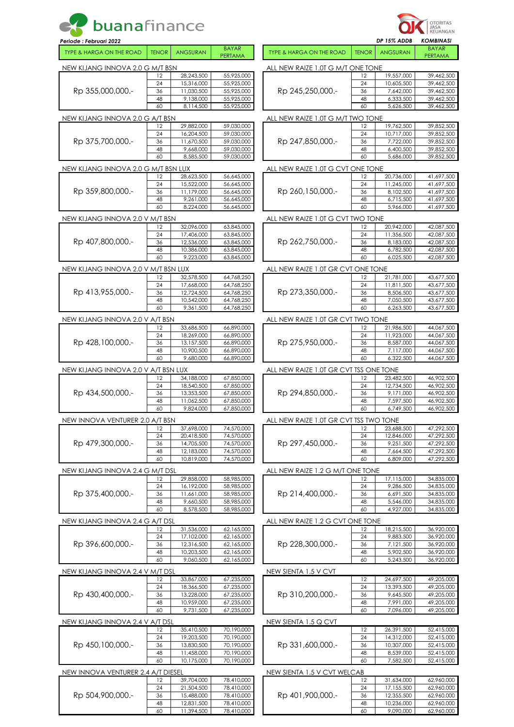| buanafinance                        |              |                          |                          | OTORITAS<br>JASA<br>KEUANGAN           |              |                          |                           |  |
|-------------------------------------|--------------|--------------------------|--------------------------|----------------------------------------|--------------|--------------------------|---------------------------|--|
| Periode : Februari 2022             |              |                          | <b>BAYAR</b>             |                                        |              | DP 15% ADDB              | KOMBINASI<br><b>BAYAR</b> |  |
| <b>TYPE &amp; HARGA ON THE ROAD</b> | <b>TENOR</b> | <b>ANGSURAN</b>          | PERTAMA                  | <b>TYPE &amp; HARGA ON THE ROAD</b>    | <b>TENOR</b> | <b>ANGSURAN</b>          | PERTAMA                   |  |
| new Kijang innova 2.0 G m/t BSN     |              |                          |                          | all new raize 1.0T G m/T One TONE      |              |                          |                           |  |
|                                     | 12<br>24     | 28,243,500<br>15,316,000 | 55,925,000<br>55,925,000 |                                        | 12<br>24     | 19,557,000<br>10,605,500 | 39,462,500<br>39,462,500  |  |
| Rp 355,000,000.-                    | 36           | 11,030,500               | 55,925,000               | Rp 245,250,000.-                       | 36           | 7,642,000                | 39,462,500                |  |
|                                     | 48<br>60     | 9,138,000                | 55,925,000               |                                        | 48<br>60     | 6,333,500                | 39,462,500                |  |
|                                     |              | 8,114,500                | 55,925,000               |                                        |              | 5,626,500                | 39,462,500                |  |
| NEW KIJANG INNOVA 2.0 G A/T BSN     | 12           | 29,882,000               | 59,030,000               | ALL NEW RAIZE 1.0T G M/T TWO TONE      | 12           | 19,762,500               | 39,852,500                |  |
|                                     | 24           | 16,204,500               | 59,030,000               |                                        | 24           | 10,717,000               | 39,852,500                |  |
| Rp 375,700,000.-                    | 36<br>48     | 11,670,500<br>9,668,000  | 59,030,000<br>59,030,000 | Rp 247,850,000.-                       | 36<br>48     | 7,722,000<br>6,400,500   | 39,852,500<br>39,852,500  |  |
|                                     | 60           | 8,585,500                | 59,030,000               |                                        | 60           | 5,686,000                | 39,852,500                |  |
| NEW KIJANG INNOVA 2.0 G M/T BSN LUX |              |                          |                          | ALL NEW RAIZE 1.0T G CVT ONE TONE      |              |                          |                           |  |
|                                     | 12           | 28,623,500               | 56,645,000               |                                        | 12           | 20,736,000               | 41,697,500                |  |
| Rp 359,800,000.-                    | 24<br>36     | 15,522,000<br>11,179,000 | 56,645,000<br>56,645,000 | Rp 260,150,000.-                       | 24<br>36     | 11,245,000<br>8,102,500  | 41,697,500<br>41,697,500  |  |
|                                     | 48           | 9,261,000                | 56,645,000               |                                        | 48           | 6,715,500                | 41,697,500                |  |
|                                     | 60           | 8,224,000                | 56,645,000               |                                        | 60           | 5,966,000                | 41,697,500                |  |
| NEW KIJANG INNOVA 2.0 V M/T BSN     |              |                          |                          | ALL NEW RAIZE 1.0T G CVT TWO TONE      |              |                          |                           |  |
|                                     | 12<br>24     | 32,096,000<br>17,406,000 | 63,845,000<br>63,845,000 |                                        | 12<br>24     | 20,942,000<br>11,356,500 | 42,087,500<br>42,087,500  |  |
| Rp 407,800,000.-                    | 36           | 12,536,000               | 63,845,000               | Rp 262,750,000.-                       | 36           | 8,183,000                | 42,087,500                |  |
|                                     | 48           | 10,386,000               | 63,845,000               |                                        | 48           | 6,782,500                | 42,087,500                |  |
|                                     | 60           | 9,223,000                | 63,845,000               |                                        | 60           | 6,025,500                | 42,087,500                |  |
| NEW KIJANG INNOVA 2.0 V M/T BSN LUX | 12           | 32,578,500               | 64,768,250               | ALL NEW RAIZE 1.0T GR CVT ONE TONE     | 12           | 21,781,000               | 43,677,500                |  |
|                                     | 24           | 17,668,000               | 64,768,250               |                                        | 24           | 11,811,500               | 43,677,500                |  |
| Rp 413,955,000.-                    | 36           | 12,724,500               | 64,768,250               | Rp 273,350,000.-                       | 36           | 8,506,500                | 43,677,500                |  |
|                                     | 48<br>60     | 10,542,000<br>9,361,500  | 64,768,250<br>64,768,250 |                                        | 48<br>60     | 7,050,500<br>6,263,500   | 43,677,500<br>43,677,500  |  |
| NEW KIJANG INNOVA 2.0 V A/T BSN     |              |                          |                          | ALL NEW RAIZE 1.0T GR CVT TWO TONE     |              |                          |                           |  |
|                                     | 12           | 33,686,500               | 66,890,000               |                                        | 12           | 21,986,500               | 44,067,500                |  |
|                                     | 24           | 18,269,000               | 66,890,000               |                                        | 24           | 11,923,000               | 44,067,500                |  |
| Rp 428,100,000.-                    | 36<br>48     | 13,157,500<br>10,900,500 | 66,890,000<br>66,890,000 | Rp 275,950,000.-                       | 36<br>48     | 8,587,000<br>7,117,000   | 44,067,500<br>44,067,500  |  |
|                                     | 60           | 9,680,000                | 66,890,000               |                                        | 60           | 6,322,500                | 44,067,500                |  |
| NEW KIJANG INNOVA 2.0 V A/T BSN LUX |              |                          |                          | ALL NEW RAIZE 1.0T GR CVT TSS ONE TONE |              |                          |                           |  |
|                                     | 12           | 34,188,000               | 67,850,000               |                                        | 12           | 23,482,500               | 46,902,500                |  |
| Rp 434,500,000.-                    | 24<br>36     | 18,540,500<br>13,353,500 | 67,850,000<br>67,850,000 | Rp 294,850,000.-                       | 24<br>36     | 12,734,500<br>9,171,000  | 46,902,500<br>46,902,500  |  |
|                                     | 48           | 11.062.500               | 67.850.000               |                                        | 48           | 7,597,500                | 46,902,500                |  |
|                                     | 60           | 9,824,000                | 67,850,000               |                                        | 60           | 6,749,500                | 46,902,500                |  |
| NEW INNOVA VENTURER 2.0 A/T BSN     |              |                          |                          | ALL NEW RAIZE 1.0T GR CVT TSS TWO TONE |              |                          |                           |  |
|                                     | 12<br>24     | 37,698,000<br>20,418,500 | 74,570,000<br>74,570,000 |                                        | 12<br>24     | 23,688,500<br>12,846,000 | 47,292,500<br>47,292,500  |  |
| Rp 479,300,000.-                    | 36           | 14,705,500               | 74,570,000               | Rp 297,450,000.-                       | 36           | 9,251,500                | 47,292,500                |  |
|                                     | 48           | 12,183,000               | 74,570,000               |                                        | 48           | 7,664,500                | 47,292,500                |  |
|                                     | 60           | 10,819,000               | 74,570,000               |                                        | 60           | 6,809,000                | 47,292,500                |  |
| NEW KIJANG INNOVA 2.4 G M/T DSL     | 12           | 29,858,000               | 58,985,000               | ALL NEW RAIZE 1.2 G M/T ONE TONE       | 12           | 17,115,000               | 34,835,000                |  |
|                                     | 24           | 16,192,000               | 58,985,000               |                                        | 24           | 9,286,500                | 34,835,000                |  |
| Rp 375,400,000.-                    | 36           | 11,661,000               | 58,985,000               | Rp 214,400,000.-                       | 36           | 6,691,500                | 34,835,000                |  |
|                                     | 48<br>60     | 9,660,500<br>8,578,500   | 58,985,000<br>58,985,000 |                                        | 48<br>60     | 5,546,000<br>4,927,000   | 34,835,000<br>34,835,000  |  |
| NEW KIJANG INNOVA 2.4 G A/T DSL     |              |                          |                          | ALL NEW RAIZE 1.2 G CVT ONE TONE       |              |                          |                           |  |
|                                     | 12           | 31,536,000               | 62,165,000               |                                        | 12           | 18,215,500               | 36,920,000                |  |
|                                     | 24           | 17,102,000               | 62,165,000               |                                        | 24           | 9,883,500                | 36,920,000                |  |
| Rp 396,600,000.-                    | 36<br>48     | 12,316,500<br>10,203,500 | 62,165,000<br>62,165,000 | Rp 228,300,000.-                       | 36<br>48     | 7,121,500<br>5,902,500   | 36,920,000<br>36,920,000  |  |
|                                     | 60           | 9,060,500                | 62,165,000               |                                        | 60           | 5,243,500                | 36,920,000                |  |
| NEW KIJANG INNOVA 2.4 V M/T DSL     |              |                          |                          | NEW SIENTA 1.5 V CVT                   |              |                          |                           |  |
|                                     | 12           | 33,867,000               | 67,235,000               |                                        | 12           | 24,697,500               | 49,205,000                |  |
| Rp 430,400,000.-                    | 24<br>36     | 18,366,500<br>13,228,000 | 67,235,000<br>67,235,000 | Rp 310,200,000.-                       | 24<br>36     | 13,393,500<br>9,645,500  | 49,205,000<br>49,205,000  |  |
|                                     | 48           | 10,959,000               | 67,235,000               |                                        | 48           | 7,991,000                | 49,205,000                |  |
|                                     | 60           | 9,731,500                | 67,235,000               |                                        | 60           | 7,096,000                | 49,205,000                |  |
| NEW KIJANG INNOVA 2.4 V A/T DSL     |              |                          |                          | NEW SIENTA 1.5 Q CVT                   |              |                          |                           |  |
|                                     | 12<br>24     | 35,410,500<br>19,203,500 | 70,190,000<br>70,190,000 | Rp 331,600,000.-                       | 12<br>24     | 26,391,500<br>14,312,000 | 52,415,000<br>52,415,000  |  |
| Rp 450,100,000.-                    | 36           | 13,830,500               | 70,190,000               |                                        | 36           | 10,307,000               | 52,415,000                |  |
|                                     | 48           | 11,458,000               | 70,190,000               |                                        | 48           | 8,539,000                | 52,415,000                |  |
|                                     | 60           | 10,175,000               | 70,190,000               |                                        | 60           | 7,582,500                | 52,415,000                |  |
| NEW INNOVA VENTURER 2.4 A/T DIESEL  | 12           | 39,704,000               | 78,410,000               | NEW SIENTA 1.5 V CVT WELCAB            | 12           | 31,634,000               | 62,960,000                |  |
|                                     | 24           | 21,504,500               | 78,410,000               |                                        | 24           | 17,155,500               | 62,960,000                |  |
| Rp 504,900,000.-                    | 36           | 15,488,000               | 78,410,000               | Rp 401,900,000.-                       | 36           | 12,355,500               | 62,960,000                |  |
|                                     | 48<br>60     | 12,831,500<br>11,394,500 | 78,410,000<br>78,410,000 |                                        | 48<br>60     | 10,236,000<br>9,090,000  | 62,960,000<br>62,960,000  |  |